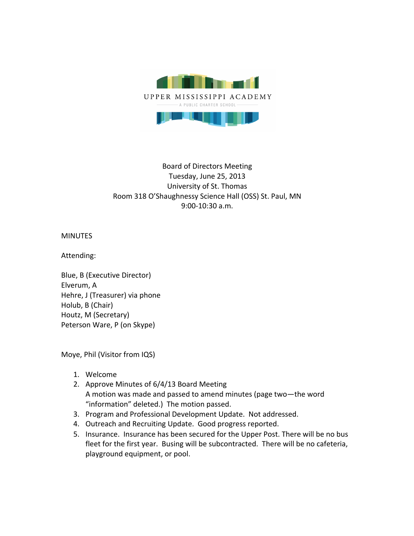

## Board of Directors Meeting Tuesday, June 25, 2013 University of St. Thomas Room 318 O'Shaughnessy Science Hall (OSS) St. Paul, MN 9:00-10:30 a.m.

MINUTES

Attending:

Blue, B (Executive Director) Elverum, A Hehre, J (Treasurer) via phone Holub, B (Chair) Houtz, M (Secretary) Peterson Ware, P (on Skype)

Moye, Phil (Visitor from IQS)

- 1. Welcome
- 2. Approve Minutes of 6/4/13 Board Meeting A motion was made and passed to amend minutes (page two-the word "information" deleted.) The motion passed.
- 3. Program and Professional Development Update. Not addressed.
- 4. Outreach and Recruiting Update. Good progress reported.
- 5. Insurance. Insurance has been secured for the Upper Post. There will be no bus fleet for the first year. Busing will be subcontracted. There will be no cafeteria, playground equipment, or pool.